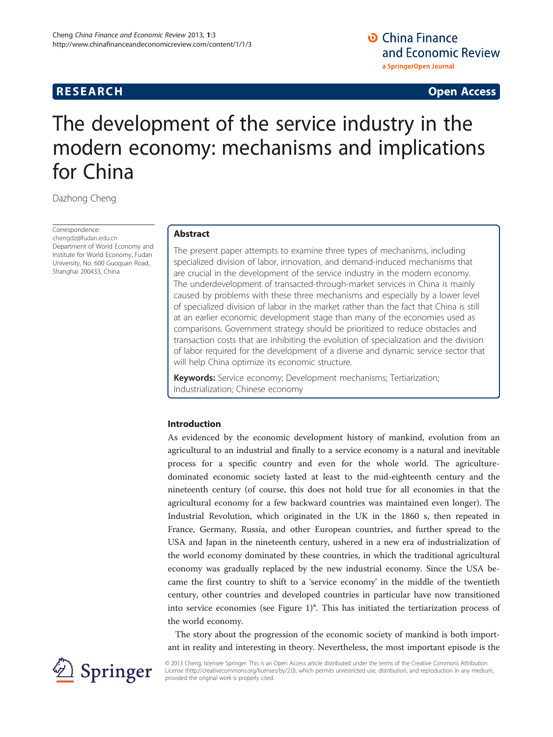# **RESEARCH CHINESE ARCH CHINESE ARCH CHINESE ARCH**

# The development of the service industry in the modern economy: mechanisms and implications for China

Dazhong Cheng

Correspondence: [chengdz@fudan.edu.cn](mailto:chengdz@fudan.edu.cn) Department of World Economy and Institute for World Economy, Fudan University, No. 600 Guoquan Road, Shanghai 200433, China

## Abstract

The present paper attempts to examine three types of mechanisms, including specialized division of labor, innovation, and demand-induced mechanisms that are crucial in the development of the service industry in the modern economy. The underdevelopment of transacted-through-market services in China is mainly caused by problems with these three mechanisms and especially by a lower level of specialized division of labor in the market rather than the fact that China is still at an earlier economic development stage than many of the economies used as comparisons. Government strategy should be prioritized to reduce obstacles and transaction costs that are inhibiting the evolution of specialization and the division of labor required for the development of a diverse and dynamic service sector that will help China optimize its economic structure.

**Keywords:** Service economy; Development mechanisms; Tertiarization; Industrialization; Chinese economy

### Introduction

As evidenced by the economic development history of mankind, evolution from an agricultural to an industrial and finally to a service economy is a natural and inevitable process for a specific country and even for the whole world. The agriculturedominated economic society lasted at least to the mid-eighteenth century and the nineteenth century (of course, this does not hold true for all economies in that the agricultural economy for a few backward countries was maintained even longer). The Industrial Revolution, which originated in the UK in the 1860 s, then repeated in France, Germany, Russia, and other European countries, and further spread to the USA and Japan in the nineteenth century, ushered in a new era of industrialization of the world economy dominated by these countries, in which the traditional agricultural economy was gradually replaced by the new industrial economy. Since the USA became the first country to shift to a 'service economy' in the middle of the twentieth century, other countries and developed countries in particular have now transitioned into service economies (see Figure  $1)^{a}$ . This has initiated the tertiarization process of the world economy.

The story about the progression of the economic society of mankind is both important in reality and interesting in theory. Nevertheless, the most important episode is the



© 2013 Cheng; licensee Springer. This is an Open Access article distributed under the terms of the Creative Commons Attribution License [\(http://creativecommons.org/licenses/by/2.0\)](http://creativecommons.org/licenses/by/2.0), which permits unrestricted use, distribution, and reproduction in any medium, provided the original work is properly cited.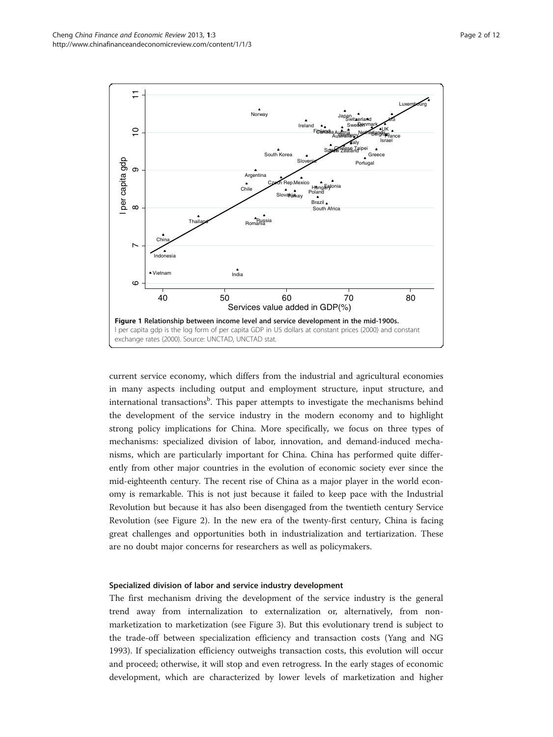<span id="page-1-0"></span>

current service economy, which differs from the industrial and agricultural economies in many aspects including output and employment structure, input structure, and international transactions<sup>b</sup>. This paper attempts to investigate the mechanisms behind the development of the service industry in the modern economy and to highlight strong policy implications for China. More specifically, we focus on three types of mechanisms: specialized division of labor, innovation, and demand-induced mechanisms, which are particularly important for China. China has performed quite differently from other major countries in the evolution of economic society ever since the mid-eighteenth century. The recent rise of China as a major player in the world economy is remarkable. This is not just because it failed to keep pace with the Industrial Revolution but because it has also been disengaged from the twentieth century Service Revolution (see Figure [2\)](#page-2-0). In the new era of the twenty-first century, China is facing great challenges and opportunities both in industrialization and tertiarization. These are no doubt major concerns for researchers as well as policymakers.

#### Specialized division of labor and service industry development

The first mechanism driving the development of the service industry is the general trend away from internalization to externalization or, alternatively, from nonmarketization to marketization (see Figure [3\)](#page-2-0). But this evolutionary trend is subject to the trade-off between specialization efficiency and transaction costs (Yang and NG [1993](#page-11-0)). If specialization efficiency outweighs transaction costs, this evolution will occur and proceed; otherwise, it will stop and even retrogress. In the early stages of economic development, which are characterized by lower levels of marketization and higher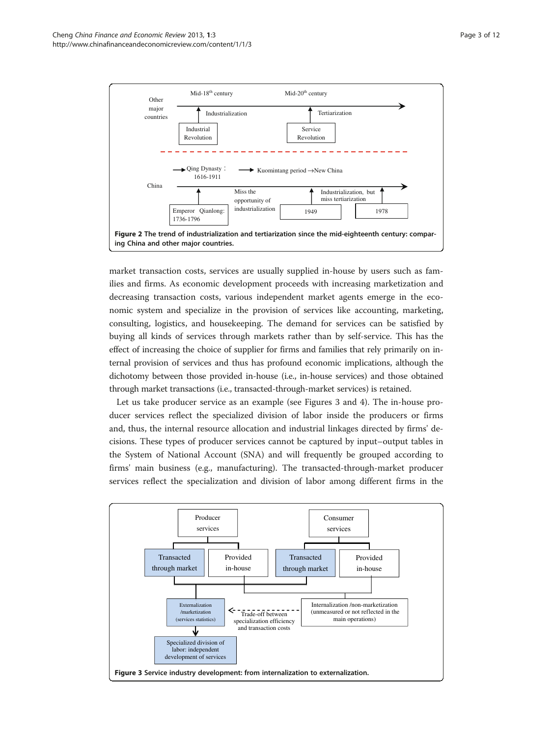<span id="page-2-0"></span>

market transaction costs, services are usually supplied in-house by users such as families and firms. As economic development proceeds with increasing marketization and decreasing transaction costs, various independent market agents emerge in the economic system and specialize in the provision of services like accounting, marketing, consulting, logistics, and housekeeping. The demand for services can be satisfied by buying all kinds of services through markets rather than by self-service. This has the effect of increasing the choice of supplier for firms and families that rely primarily on internal provision of services and thus has profound economic implications, although the dichotomy between those provided in-house (i.e., in-house services) and those obtained through market transactions (i.e., transacted-through-market services) is retained.

Let us take producer service as an example (see Figures 3 and [4\)](#page-3-0). The in-house producer services reflect the specialized division of labor inside the producers or firms and, thus, the internal resource allocation and industrial linkages directed by firms' decisions. These types of producer services cannot be captured by input–output tables in the System of National Account (SNA) and will frequently be grouped according to firms' main business (e.g., manufacturing). The transacted-through-market producer services reflect the specialization and division of labor among different firms in the

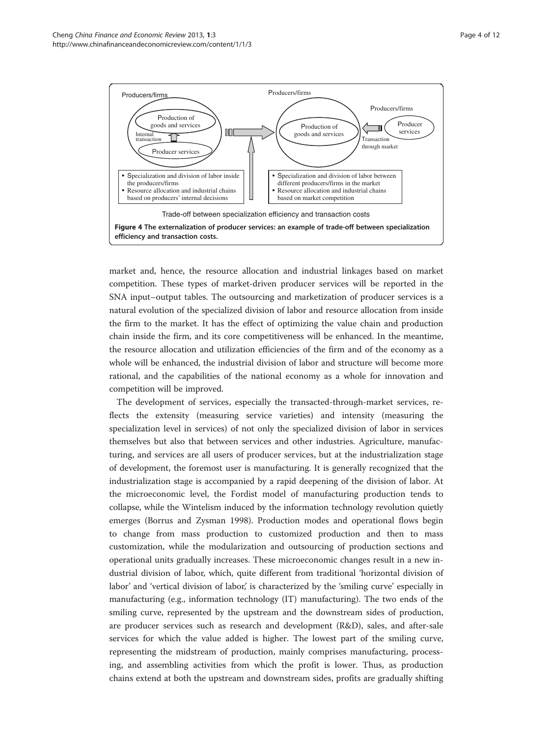<span id="page-3-0"></span>

market and, hence, the resource allocation and industrial linkages based on market competition. These types of market-driven producer services will be reported in the SNA input–output tables. The outsourcing and marketization of producer services is a natural evolution of the specialized division of labor and resource allocation from inside the firm to the market. It has the effect of optimizing the value chain and production chain inside the firm, and its core competitiveness will be enhanced. In the meantime, the resource allocation and utilization efficiencies of the firm and of the economy as a whole will be enhanced, the industrial division of labor and structure will become more rational, and the capabilities of the national economy as a whole for innovation and competition will be improved.

The development of services, especially the transacted-through-market services, reflects the extensity (measuring service varieties) and intensity (measuring the specialization level in services) of not only the specialized division of labor in services themselves but also that between services and other industries. Agriculture, manufacturing, and services are all users of producer services, but at the industrialization stage of development, the foremost user is manufacturing. It is generally recognized that the industrialization stage is accompanied by a rapid deepening of the division of labor. At the microeconomic level, the Fordist model of manufacturing production tends to collapse, while the Wintelism induced by the information technology revolution quietly emerges (Borrus and Zysman [1998\)](#page-11-0). Production modes and operational flows begin to change from mass production to customized production and then to mass customization, while the modularization and outsourcing of production sections and operational units gradually increases. These microeconomic changes result in a new industrial division of labor, which, quite different from traditional 'horizontal division of labor' and 'vertical division of labor,' is characterized by the 'smiling curve' especially in manufacturing (e.g., information technology (IT) manufacturing). The two ends of the smiling curve, represented by the upstream and the downstream sides of production, are producer services such as research and development (R&D), sales, and after-sale services for which the value added is higher. The lowest part of the smiling curve, representing the midstream of production, mainly comprises manufacturing, processing, and assembling activities from which the profit is lower. Thus, as production chains extend at both the upstream and downstream sides, profits are gradually shifting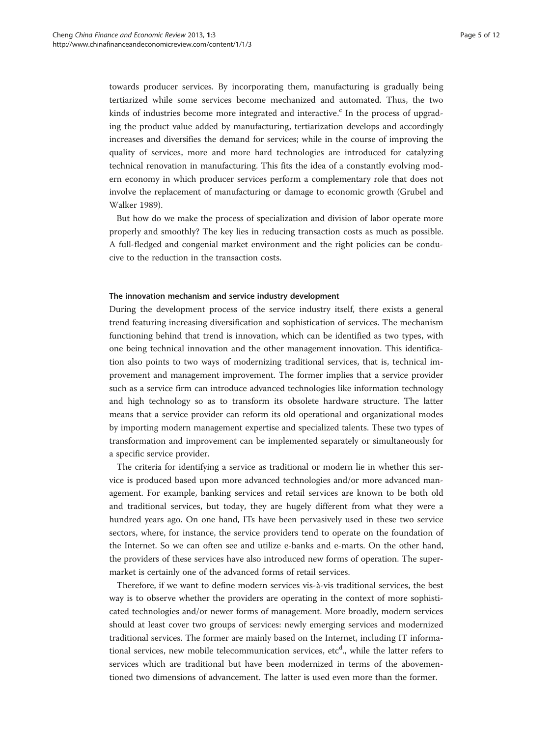towards producer services. By incorporating them, manufacturing is gradually being tertiarized while some services become mechanized and automated. Thus, the two kinds of industries become more integrated and interactive. $\epsilon$  In the process of upgrading the product value added by manufacturing, tertiarization develops and accordingly increases and diversifies the demand for services; while in the course of improving the quality of services, more and more hard technologies are introduced for catalyzing technical renovation in manufacturing. This fits the idea of a constantly evolving modern economy in which producer services perform a complementary role that does not involve the replacement of manufacturing or damage to economic growth (Grubel and Walker [1989](#page-11-0)).

But how do we make the process of specialization and division of labor operate more properly and smoothly? The key lies in reducing transaction costs as much as possible. A full-fledged and congenial market environment and the right policies can be conducive to the reduction in the transaction costs.

#### The innovation mechanism and service industry development

During the development process of the service industry itself, there exists a general trend featuring increasing diversification and sophistication of services. The mechanism functioning behind that trend is innovation, which can be identified as two types, with one being technical innovation and the other management innovation. This identification also points to two ways of modernizing traditional services, that is, technical improvement and management improvement. The former implies that a service provider such as a service firm can introduce advanced technologies like information technology and high technology so as to transform its obsolete hardware structure. The latter means that a service provider can reform its old operational and organizational modes by importing modern management expertise and specialized talents. These two types of transformation and improvement can be implemented separately or simultaneously for a specific service provider.

The criteria for identifying a service as traditional or modern lie in whether this service is produced based upon more advanced technologies and/or more advanced management. For example, banking services and retail services are known to be both old and traditional services, but today, they are hugely different from what they were a hundred years ago. On one hand, ITs have been pervasively used in these two service sectors, where, for instance, the service providers tend to operate on the foundation of the Internet. So we can often see and utilize e-banks and e-marts. On the other hand, the providers of these services have also introduced new forms of operation. The supermarket is certainly one of the advanced forms of retail services.

Therefore, if we want to define modern services vis-à-vis traditional services, the best way is to observe whether the providers are operating in the context of more sophisticated technologies and/or newer forms of management. More broadly, modern services should at least cover two groups of services: newly emerging services and modernized traditional services. The former are mainly based on the Internet, including IT informational services, new mobile telecommunication services, etc<sup>d</sup>., while the latter refers to services which are traditional but have been modernized in terms of the abovementioned two dimensions of advancement. The latter is used even more than the former.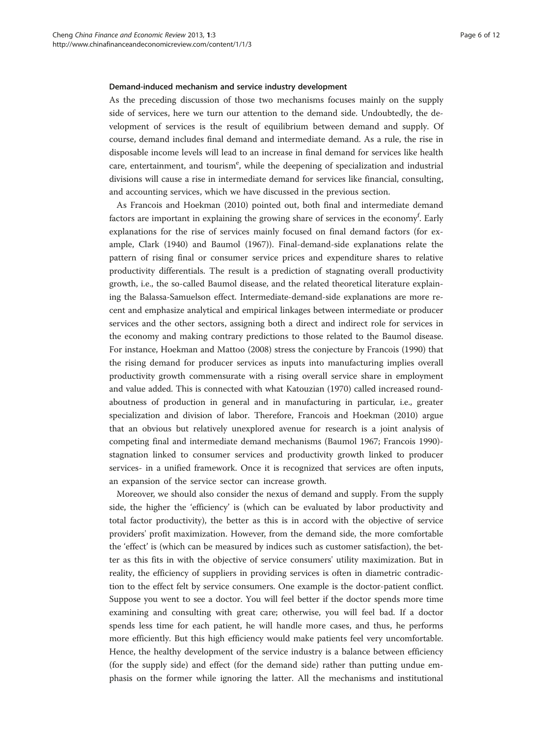#### Demand-induced mechanism and service industry development

As the preceding discussion of those two mechanisms focuses mainly on the supply side of services, here we turn our attention to the demand side. Undoubtedly, the development of services is the result of equilibrium between demand and supply. Of course, demand includes final demand and intermediate demand. As a rule, the rise in disposable income levels will lead to an increase in final demand for services like health care, entertainment, and tourism<sup>e</sup>, while the deepening of specialization and industrial divisions will cause a rise in intermediate demand for services like financial, consulting, and accounting services, which we have discussed in the previous section.

As Francois and Hoekman ([2010](#page-11-0)) pointed out, both final and intermediate demand factors are important in explaining the growing share of services in the economy<sup>f</sup>. Early explanations for the rise of services mainly focused on final demand factors (for example, Clark ([1940](#page-11-0)) and Baumol [\(1967\)](#page-11-0)). Final-demand-side explanations relate the pattern of rising final or consumer service prices and expenditure shares to relative productivity differentials. The result is a prediction of stagnating overall productivity growth, i.e., the so-called Baumol disease, and the related theoretical literature explaining the Balassa-Samuelson effect. Intermediate-demand-side explanations are more recent and emphasize analytical and empirical linkages between intermediate or producer services and the other sectors, assigning both a direct and indirect role for services in the economy and making contrary predictions to those related to the Baumol disease. For instance, Hoekman and Mattoo [\(2008\)](#page-11-0) stress the conjecture by Francois ([1990\)](#page-11-0) that the rising demand for producer services as inputs into manufacturing implies overall productivity growth commensurate with a rising overall service share in employment and value added. This is connected with what Katouzian ([1970](#page-11-0)) called increased roundaboutness of production in general and in manufacturing in particular, i.e., greater specialization and division of labor. Therefore, Francois and Hoekman ([2010](#page-11-0)) argue that an obvious but relatively unexplored avenue for research is a joint analysis of competing final and intermediate demand mechanisms (Baumol [1967;](#page-11-0) Francois [1990\)](#page-11-0) stagnation linked to consumer services and productivity growth linked to producer services- in a unified framework. Once it is recognized that services are often inputs, an expansion of the service sector can increase growth.

Moreover, we should also consider the nexus of demand and supply. From the supply side, the higher the 'efficiency' is (which can be evaluated by labor productivity and total factor productivity), the better as this is in accord with the objective of service providers' profit maximization. However, from the demand side, the more comfortable the 'effect' is (which can be measured by indices such as customer satisfaction), the better as this fits in with the objective of service consumers' utility maximization. But in reality, the efficiency of suppliers in providing services is often in diametric contradiction to the effect felt by service consumers. One example is the doctor-patient conflict. Suppose you went to see a doctor. You will feel better if the doctor spends more time examining and consulting with great care; otherwise, you will feel bad. If a doctor spends less time for each patient, he will handle more cases, and thus, he performs more efficiently. But this high efficiency would make patients feel very uncomfortable. Hence, the healthy development of the service industry is a balance between efficiency (for the supply side) and effect (for the demand side) rather than putting undue emphasis on the former while ignoring the latter. All the mechanisms and institutional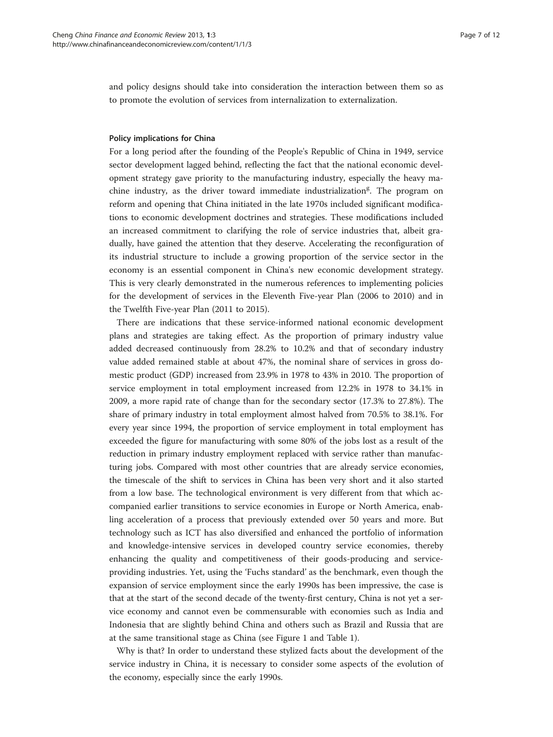and policy designs should take into consideration the interaction between them so as to promote the evolution of services from internalization to externalization.

#### Policy implications for China

For a long period after the founding of the People's Republic of China in 1949, service sector development lagged behind, reflecting the fact that the national economic development strategy gave priority to the manufacturing industry, especially the heavy machine industry, as the driver toward immediate industrialization<sup>g</sup>. The program on reform and opening that China initiated in the late 1970s included significant modifications to economic development doctrines and strategies. These modifications included an increased commitment to clarifying the role of service industries that, albeit gradually, have gained the attention that they deserve. Accelerating the reconfiguration of its industrial structure to include a growing proportion of the service sector in the economy is an essential component in China's new economic development strategy. This is very clearly demonstrated in the numerous references to implementing policies for the development of services in the Eleventh Five-year Plan (2006 to 2010) and in the Twelfth Five-year Plan (2011 to 2015).

There are indications that these service-informed national economic development plans and strategies are taking effect. As the proportion of primary industry value added decreased continuously from 28.2% to 10.2% and that of secondary industry value added remained stable at about 47%, the nominal share of services in gross domestic product (GDP) increased from 23.9% in 1978 to 43% in 2010. The proportion of service employment in total employment increased from 12.2% in 1978 to 34.1% in 2009, a more rapid rate of change than for the secondary sector (17.3% to 27.8%). The share of primary industry in total employment almost halved from 70.5% to 38.1%. For every year since 1994, the proportion of service employment in total employment has exceeded the figure for manufacturing with some 80% of the jobs lost as a result of the reduction in primary industry employment replaced with service rather than manufacturing jobs. Compared with most other countries that are already service economies, the timescale of the shift to services in China has been very short and it also started from a low base. The technological environment is very different from that which accompanied earlier transitions to service economies in Europe or North America, enabling acceleration of a process that previously extended over 50 years and more. But technology such as ICT has also diversified and enhanced the portfolio of information and knowledge-intensive services in developed country service economies, thereby enhancing the quality and competitiveness of their goods-producing and serviceproviding industries. Yet, using the 'Fuchs standard' as the benchmark, even though the expansion of service employment since the early 1990s has been impressive, the case is that at the start of the second decade of the twenty-first century, China is not yet a service economy and cannot even be commensurable with economies such as India and Indonesia that are slightly behind China and others such as Brazil and Russia that are at the same transitional stage as China (see Figure [1](#page-1-0) and Table [1\)](#page-7-0).

Why is that? In order to understand these stylized facts about the development of the service industry in China, it is necessary to consider some aspects of the evolution of the economy, especially since the early 1990s.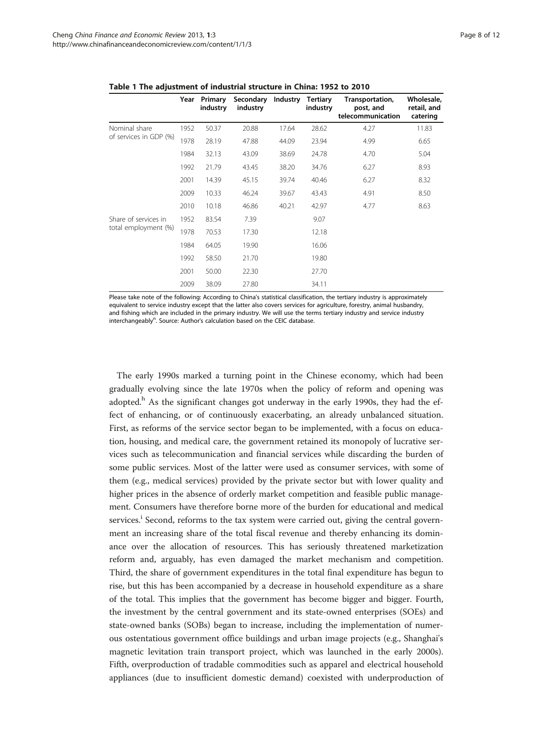|                                              | Year | Primary<br>industry | Secondary<br>industry | <b>Industry</b> | <b>Tertiary</b><br>industry | Transportation,<br>post, and<br>telecommunication | Wholesale,<br>retail, and<br>catering |
|----------------------------------------------|------|---------------------|-----------------------|-----------------|-----------------------------|---------------------------------------------------|---------------------------------------|
| Nominal share<br>of services in GDP (%)      | 1952 | 50.37               | 20.88                 | 17.64           | 28.62                       | 4.27                                              | 11.83                                 |
|                                              | 1978 | 28.19               | 47.88                 | 44.09           | 23.94                       | 4.99                                              | 6.65                                  |
|                                              | 1984 | 32.13               | 43.09                 | 38.69           | 24.78                       | 4.70                                              | 5.04                                  |
|                                              | 1992 | 21.79               | 43.45                 | 38.20           | 34.76                       | 6.27                                              | 8.93                                  |
|                                              | 2001 | 14.39               | 45.15                 | 39.74           | 40.46                       | 6.27                                              | 8.32                                  |
|                                              | 2009 | 10.33               | 46.24                 | 39.67           | 43.43                       | 4.91                                              | 8.50                                  |
|                                              | 2010 | 10.18               | 46.86                 | 40.21           | 42.97                       | 4.77                                              | 8.63                                  |
| Share of services in<br>total employment (%) | 1952 | 83.54               | 7.39                  |                 | 9.07                        |                                                   |                                       |
|                                              | 1978 | 70.53               | 17.30                 |                 | 12.18                       |                                                   |                                       |
|                                              | 1984 | 64.05               | 19.90                 |                 | 16.06                       |                                                   |                                       |
|                                              | 1992 | 58.50               | 21.70                 |                 | 19.80                       |                                                   |                                       |
|                                              | 2001 | 50.00               | 22.30                 |                 | 27.70                       |                                                   |                                       |
|                                              | 2009 | 38.09               | 27.80                 |                 | 34.11                       |                                                   |                                       |

<span id="page-7-0"></span>Table 1 The adjustment of industrial structure in China: 1952 to 2010

Please take note of the following: According to China's statistical classification, the tertiary industry is approximately equivalent to service industry except that the latter also covers services for agriculture, forestry, animal husbandry, and fishing which are included in the primary industry. We will use the terms tertiary industry and service industry interchangeably<sup>n</sup>. Source: Author's calculation based on the CEIC database.

The early 1990s marked a turning point in the Chinese economy, which had been gradually evolving since the late 1970s when the policy of reform and opening was adopted.<sup>h</sup> As the significant changes got underway in the early 1990s, they had the effect of enhancing, or of continuously exacerbating, an already unbalanced situation. First, as reforms of the service sector began to be implemented, with a focus on education, housing, and medical care, the government retained its monopoly of lucrative services such as telecommunication and financial services while discarding the burden of some public services. Most of the latter were used as consumer services, with some of them (e.g., medical services) provided by the private sector but with lower quality and higher prices in the absence of orderly market competition and feasible public management. Consumers have therefore borne more of the burden for educational and medical services.<sup>i</sup> Second, reforms to the tax system were carried out, giving the central government an increasing share of the total fiscal revenue and thereby enhancing its dominance over the allocation of resources. This has seriously threatened marketization reform and, arguably, has even damaged the market mechanism and competition. Third, the share of government expenditures in the total final expenditure has begun to rise, but this has been accompanied by a decrease in household expenditure as a share of the total. This implies that the government has become bigger and bigger. Fourth, the investment by the central government and its state-owned enterprises (SOEs) and state-owned banks (SOBs) began to increase, including the implementation of numerous ostentatious government office buildings and urban image projects (e.g., Shanghai's magnetic levitation train transport project, which was launched in the early 2000s). Fifth, overproduction of tradable commodities such as apparel and electrical household appliances (due to insufficient domestic demand) coexisted with underproduction of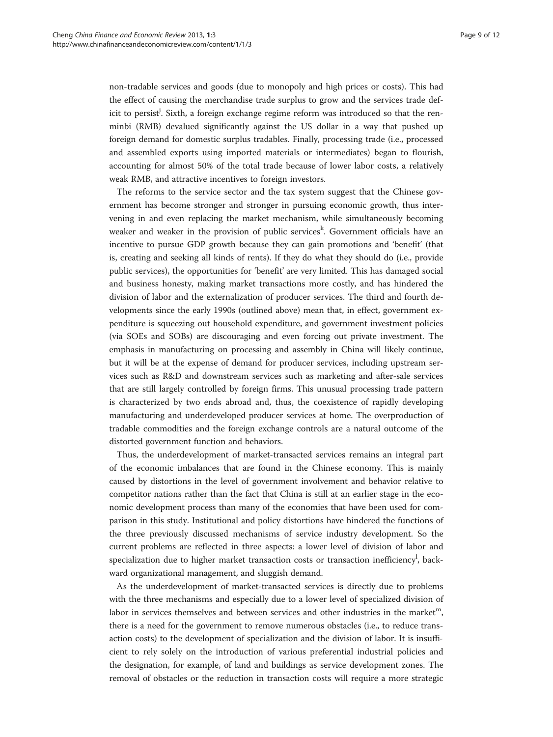non-tradable services and goods (due to monopoly and high prices or costs). This had the effect of causing the merchandise trade surplus to grow and the services trade deficit to persist<sup>j</sup>. Sixth, a foreign exchange regime reform was introduced so that the renminbi (RMB) devalued significantly against the US dollar in a way that pushed up foreign demand for domestic surplus tradables. Finally, processing trade (i.e., processed and assembled exports using imported materials or intermediates) began to flourish, accounting for almost 50% of the total trade because of lower labor costs, a relatively weak RMB, and attractive incentives to foreign investors.

The reforms to the service sector and the tax system suggest that the Chinese government has become stronger and stronger in pursuing economic growth, thus intervening in and even replacing the market mechanism, while simultaneously becoming weaker and weaker in the provision of public services<sup>k</sup>. Government officials have an incentive to pursue GDP growth because they can gain promotions and 'benefit' (that is, creating and seeking all kinds of rents). If they do what they should do (i.e., provide public services), the opportunities for 'benefit' are very limited. This has damaged social and business honesty, making market transactions more costly, and has hindered the division of labor and the externalization of producer services. The third and fourth developments since the early 1990s (outlined above) mean that, in effect, government expenditure is squeezing out household expenditure, and government investment policies (via SOEs and SOBs) are discouraging and even forcing out private investment. The emphasis in manufacturing on processing and assembly in China will likely continue, but it will be at the expense of demand for producer services, including upstream services such as R&D and downstream services such as marketing and after-sale services that are still largely controlled by foreign firms. This unusual processing trade pattern is characterized by two ends abroad and, thus, the coexistence of rapidly developing manufacturing and underdeveloped producer services at home. The overproduction of tradable commodities and the foreign exchange controls are a natural outcome of the distorted government function and behaviors.

Thus, the underdevelopment of market-transacted services remains an integral part of the economic imbalances that are found in the Chinese economy. This is mainly caused by distortions in the level of government involvement and behavior relative to competitor nations rather than the fact that China is still at an earlier stage in the economic development process than many of the economies that have been used for comparison in this study. Institutional and policy distortions have hindered the functions of the three previously discussed mechanisms of service industry development. So the current problems are reflected in three aspects: a lower level of division of labor and specialization due to higher market transaction costs or transaction inefficiency<sup>1</sup>, backward organizational management, and sluggish demand.

As the underdevelopment of market-transacted services is directly due to problems with the three mechanisms and especially due to a lower level of specialized division of labor in services themselves and between services and other industries in the market<sup>m</sup>, there is a need for the government to remove numerous obstacles (i.e., to reduce transaction costs) to the development of specialization and the division of labor. It is insufficient to rely solely on the introduction of various preferential industrial policies and the designation, for example, of land and buildings as service development zones. The removal of obstacles or the reduction in transaction costs will require a more strategic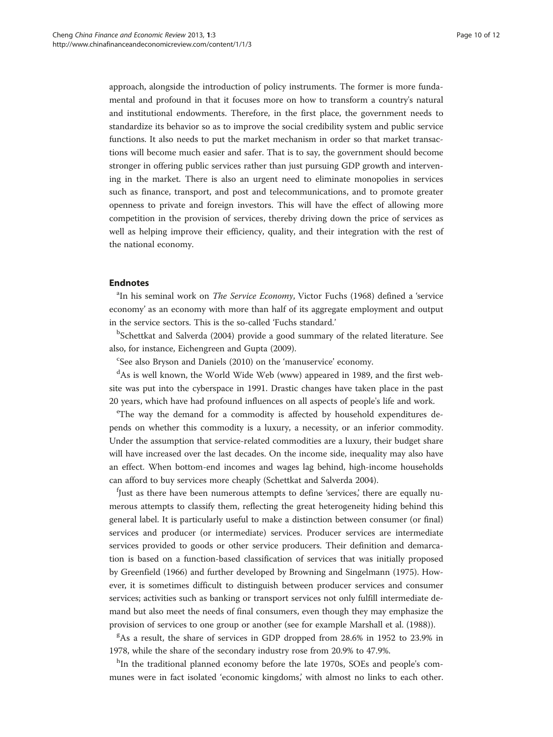approach, alongside the introduction of policy instruments. The former is more fundamental and profound in that it focuses more on how to transform a country's natural and institutional endowments. Therefore, in the first place, the government needs to standardize its behavior so as to improve the social credibility system and public service functions. It also needs to put the market mechanism in order so that market transactions will become much easier and safer. That is to say, the government should become stronger in offering public services rather than just pursuing GDP growth and intervening in the market. There is also an urgent need to eliminate monopolies in services such as finance, transport, and post and telecommunications, and to promote greater openness to private and foreign investors. This will have the effect of allowing more competition in the provision of services, thereby driving down the price of services as well as helping improve their efficiency, quality, and their integration with the rest of the national economy.

### Endnotes

<sup>a</sup>In his seminal work on *The Service Economy*, Victor Fuchs ([1968](#page-11-0)) defined a 'service economy' as an economy with more than half of its aggregate employment and output in the service sectors. This is the so-called 'Fuchs standard.'

<sup>b</sup>Schettkat and Salverda ([2004](#page-11-0)) provide a good summary of the related literature. See also, for instance, Eichengreen and Gupta [\(2009\)](#page-11-0).

<sup>c</sup>See also Bryson and Daniels [\(2010\)](#page-11-0) on the 'manuservice' economy.

<sup>d</sup>As is well known, the World Wide Web (www) appeared in 1989, and the first website was put into the cyberspace in 1991. Drastic changes have taken place in the past 20 years, which have had profound influences on all aspects of people's life and work.

<sup>e</sup>The way the demand for a commodity is affected by household expenditures depends on whether this commodity is a luxury, a necessity, or an inferior commodity. Under the assumption that service-related commodities are a luxury, their budget share will have increased over the last decades. On the income side, inequality may also have an effect. When bottom-end incomes and wages lag behind, high-income households can afford to buy services more cheaply (Schettkat and Salverda [2004](#page-11-0)).

fJust as there have been numerous attempts to define 'services,' there are equally numerous attempts to classify them, reflecting the great heterogeneity hiding behind this general label. It is particularly useful to make a distinction between consumer (or final) services and producer (or intermediate) services. Producer services are intermediate services provided to goods or other service producers. Their definition and demarcation is based on a function-based classification of services that was initially proposed by Greenfield [\(1966\)](#page-11-0) and further developed by Browning and Singelmann ([1975](#page-11-0)). However, it is sometimes difficult to distinguish between producer services and consumer services; activities such as banking or transport services not only fulfill intermediate demand but also meet the needs of final consumers, even though they may emphasize the provision of services to one group or another (see for example Marshall et al. ([1988\)](#page-11-0)).

<sup>g</sup>As a result, the share of services in GDP dropped from 28.6% in 1952 to 23.9% in 1978, while the share of the secondary industry rose from 20.9% to 47.9%.

<sup>h</sup>In the traditional planned economy before the late 1970s, SOEs and people's communes were in fact isolated 'economic kingdoms,' with almost no links to each other.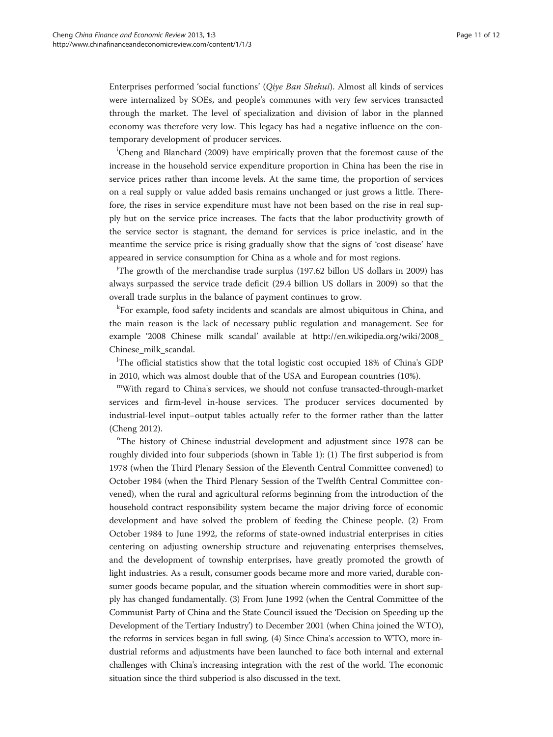Enterprises performed 'social functions' (Qiye Ban Shehui). Almost all kinds of services were internalized by SOEs, and people's communes with very few services transacted through the market. The level of specialization and division of labor in the planned economy was therefore very low. This legacy has had a negative influence on the contemporary development of producer services.

<sup>i</sup>Cheng and Blanchard ([2009](#page-11-0)) have empirically proven that the foremost cause of the increase in the household service expenditure proportion in China has been the rise in service prices rather than income levels. At the same time, the proportion of services on a real supply or value added basis remains unchanged or just grows a little. Therefore, the rises in service expenditure must have not been based on the rise in real supply but on the service price increases. The facts that the labor productivity growth of the service sector is stagnant, the demand for services is price inelastic, and in the meantime the service price is rising gradually show that the signs of 'cost disease' have appeared in service consumption for China as a whole and for most regions.

<sup>j</sup>The growth of the merchandise trade surplus (197.62 billon US dollars in 2009) has always surpassed the service trade deficit (29.4 billion US dollars in 2009) so that the overall trade surplus in the balance of payment continues to grow.

kFor example, food safety incidents and scandals are almost ubiquitous in China, and the main reason is the lack of necessary public regulation and management. See for example '2008 Chinese milk scandal' available at [http://en.wikipedia.org/wiki/2008\\_](http://en.wikipedia.org/wiki/2008_Chinese_milk_scandal) [Chinese\\_milk\\_scandal.](http://en.wikipedia.org/wiki/2008_Chinese_milk_scandal)

<sup>1</sup>The official statistics show that the total logistic cost occupied 18% of China's GDP in 2010, which was almost double that of the USA and European countries (10%).

mWith regard to China's services, we should not confuse transacted-through-market services and firm-level in-house services. The producer services documented by industrial-level input–output tables actually refer to the former rather than the latter (Cheng [2012\)](#page-11-0).

<sup>n</sup>The history of Chinese industrial development and adjustment since 1978 can be roughly divided into four subperiods (shown in Table [1](#page-7-0)): (1) The first subperiod is from 1978 (when the Third Plenary Session of the Eleventh Central Committee convened) to October 1984 (when the Third Plenary Session of the Twelfth Central Committee convened), when the rural and agricultural reforms beginning from the introduction of the household contract responsibility system became the major driving force of economic development and have solved the problem of feeding the Chinese people. (2) From October 1984 to June 1992, the reforms of state-owned industrial enterprises in cities centering on adjusting ownership structure and rejuvenating enterprises themselves, and the development of township enterprises, have greatly promoted the growth of light industries. As a result, consumer goods became more and more varied, durable consumer goods became popular, and the situation wherein commodities were in short supply has changed fundamentally. (3) From June 1992 (when the Central Committee of the Communist Party of China and the State Council issued the 'Decision on Speeding up the Development of the Tertiary Industry') to December 2001 (when China joined the WTO), the reforms in services began in full swing. (4) Since China's accession to WTO, more industrial reforms and adjustments have been launched to face both internal and external challenges with China's increasing integration with the rest of the world. The economic situation since the third subperiod is also discussed in the text.